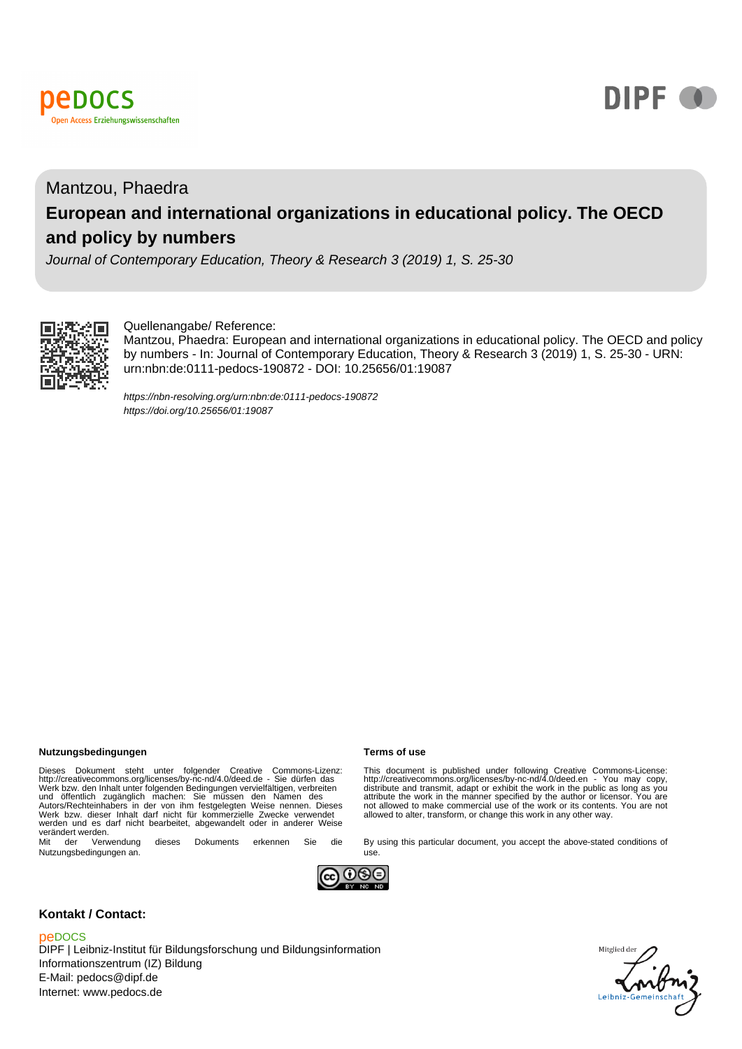



## Mantzou, Phaedra **European and international organizations in educational policy. The OECD and policy by numbers**

Journal of Contemporary Education, Theory & Research 3 (2019) 1, S. 25-30



#### Quellenangabe/ Reference:

Mantzou, Phaedra: European and international organizations in educational policy. The OECD and policy by numbers - In: Journal of Contemporary Education, Theory & Research 3 (2019) 1, S. 25-30 - URN: urn:nbn:de:0111-pedocs-190872 - DOI: 10.25656/01:19087

<https://nbn-resolving.org/urn:nbn:de:0111-pedocs-190872> <https://doi.org/10.25656/01:19087>

#### **Nutzungsbedingungen Terms of use**

Dieses Dokument steht unter folgender Creative Commons-Lizenz:<br>http://creativecommons.org/licenses/by-nc-nd/4.0/deed.de - Sie dürfen das<br>Werk bzw. den Inhalt unter folgenden Bedingungen vervielfältigen, verbreiten<br>und öffe werden und es darf nicht bearbeitet, abgewandelt oder in anderer Weise verändert werden.<br>
Mit der Verwendung

dieses Dokuments erkennen Sie die Nutzungsbedingungen an.

This document is published under following Creative Commons-License:<br>http://creativecommons.org/licenses/by-nc-nd/4.0/deed.en - You may copy,<br>distribute and transmit, adapt or exhibit the work in the public as long as you<br> not allowed to make commercial use of the work or its contents. You are not allowed to alter, transform, or change this work in any other way.

By using this particular document, you accept the above-stated conditions of



use.

#### **Kontakt / Contact:**

#### peDOCS

DIPF | Leibniz-Institut für Bildungsforschung und Bildungsinformation Informationszentrum (IZ) Bildung E-Mail: pedocs@dipf.de Internet: www.pedocs.de

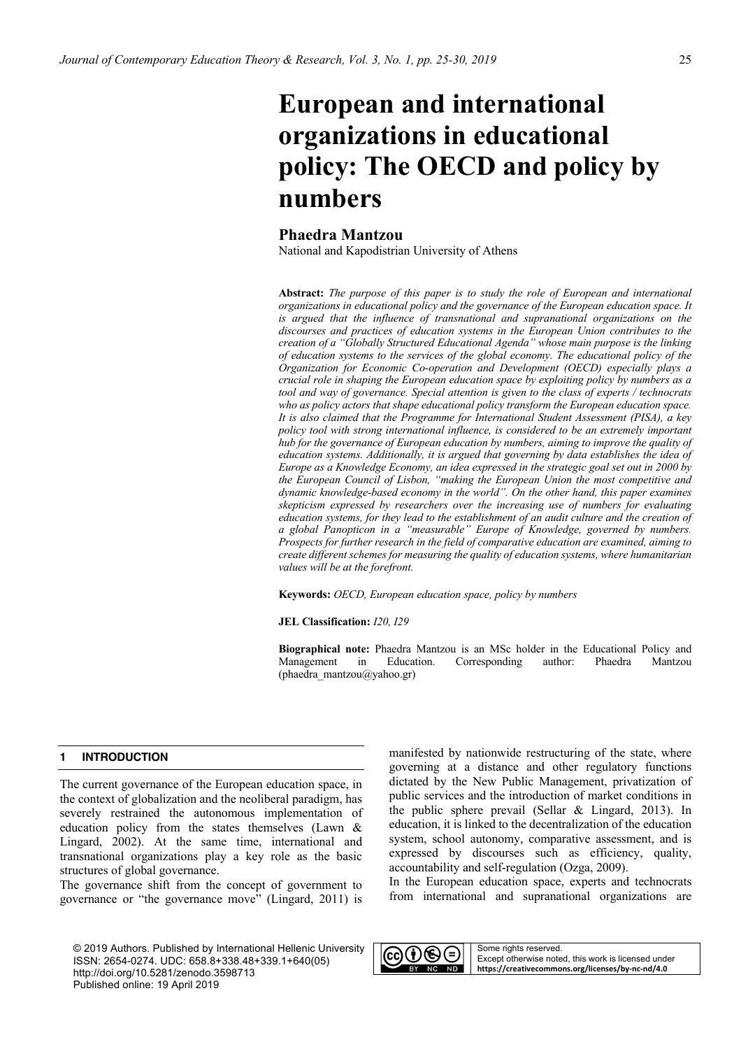# **European and international organizations in educational policy: The OECD and policy by numbers**

### **Phaedra Mantzou**

National and Kapodistrian University of Athens

**Abstract:** *The purpose of this paper is to study the role of European and international organizations in educational policy and the governance of the European education space. It*  is argued that the influence of transnational and supranational organizations on the *discourses and practices of education systems in the European Union contributes to the creation of a "Globally Structured Educational Agenda" whose main purpose is the linking of education systems to the services of the global economy. The educational policy of the Organization for Economic Co-operation and Development (OECD) especially plays a crucial role in shaping the European education space by exploiting policy by numbers as a tool and way of governance. Special attention is given to the class of experts / technocrats who as policy actors that shape educational policy transform the European education space. It is also claimed that the Programme for International Student Assessment (PISA), a key policy tool with strong international influence, is considered to be an extremely important hub for the governance of European education by numbers, aiming to improve the quality of education systems. Additionally, it is argued that governing by data establishes the idea of Europe as a Knowledge Economy, an idea expressed in the strategic goal set out in 2000 by the European Council of Lisbon, "making the European Union the most competitive and dynamic knowledge-based economy in the world". On the other hand, this paper examines skepticism expressed by researchers over the increasing use of numbers for evaluating education systems, for they lead to the establishment of an audit culture and the creation of a global Panopticon in a "measurable" Europe of Knowledge, governed by numbers. Prospects for further research in the field of comparative education are examined, aiming to create different schemes for measuring the quality of education systems, where humanitarian values will be at the forefront.*

**Keywords:** *OECD, European education space, policy by numbers*

**JEL Classification:** *I20, I29*

**Biographical note:** Phaedra Mantzou is an MSc holder in the Educational Policy and Management in Education. Corresponding author: Phaedra Mantzou (phaedra\_mantzou@yahoo.gr)

#### **1 INTRODUCTION**

The current governance of the European education space, in the context of globalization and the neoliberal paradigm, has severely restrained the autonomous implementation of education policy from the states themselves (Lawn & Lingard, 2002). At the same time, international and transnational organizations play a key role as the basic structures of global governance.

The governance shift from the concept of government to governance or "the governance move" (Lingard, 2011) is

© 2019 Authors. Published by International Hellenic University ISSN: 2654-0274. UDC: 658.8+338.48+339.1+640(05) http://doi.org/10.5281/zenodo.3598713 Published online: 19 April 2019

manifested by nationwide restructuring of the state, where governing at a distance and other regulatory functions dictated by the New Public Management, privatization of public services and the introduction of market conditions in the public sphere prevail (Sellar & Lingard, 2013). In education, it is linked to the decentralization of the education system, school autonomy, comparative assessment, and is expressed by discourses such as efficiency, quality, accountability and self-regulation (Ozga, 2009).

In the European education space, experts and technocrats from international and supranational organizations are

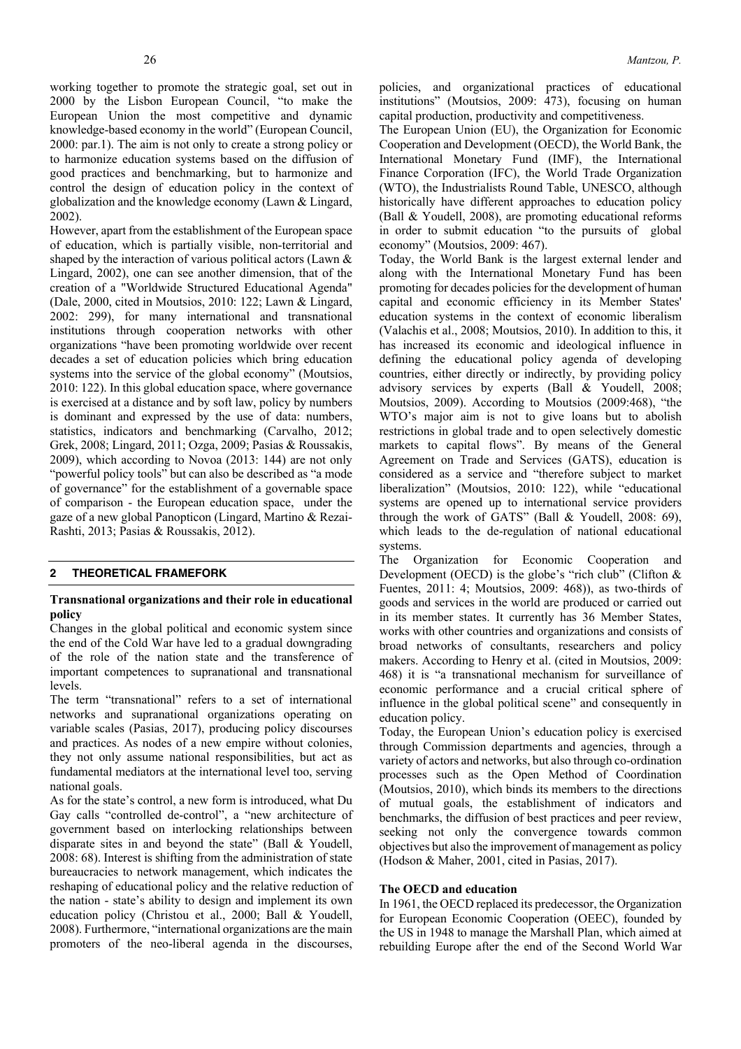working together to promote the strategic goal, set out in 2000 by the Lisbon European Council, "to make the European Union the most competitive and dynamic knowledge-based economy in the world" (European Council, 2000: par.1). The aim is not only to create a strong policy or to harmonize education systems based on the diffusion of good practices and benchmarking, but to harmonize and control the design of education policy in the context of globalization and the knowledge economy (Lawn & Lingard, 2002).

However, apart from the establishment of the European space of education, which is partially visible, non-territorial and shaped by the interaction of various political actors (Lawn & Lingard, 2002), one can see another dimension, that of the creation of a "Worldwide Structured Educational Agenda" (Dale, 2000, cited in Moutsios, 2010: 122; Lawn & Lingard, 2002: 299), for many international and transnational institutions through cooperation networks with other organizations "have been promoting worldwide over recent decades a set of education policies which bring education systems into the service of the global economy" (Moutsios, 2010: 122). In this global education space, where governance is exercised at a distance and by soft law, policy by numbers is dominant and expressed by the use of data: numbers, statistics, indicators and benchmarking (Carvalho, 2012; Grek, 2008; Lingard, 2011; Ozga, 2009; Pasias & Roussakis, 2009), which according to Novoa (2013: 144) are not only "powerful policy tools" but can also be described as "a mode of governance" for the establishment of a governable space of comparison - the European education space, under the gaze of a new global Panopticon (Lingard, Martino & Rezai-Rashti, 2013; Pasias & Roussakis, 2012).

#### **2 THEORETICAL FRAMEFORK**

#### **Transnational organizations and their role in educational policy**

Changes in the global political and economic system since the end of the Cold War have led to a gradual downgrading of the role of the nation state and the transference of important competences to supranational and transnational levels.

The term "transnational" refers to a set of international networks and supranational organizations operating on variable scales (Pasias, 2017), producing policy discourses and practices. As nodes of a new empire without colonies, they not only assume national responsibilities, but act as fundamental mediators at the international level too, serving national goals.

As for the state's control, a new form is introduced, what Du Gay calls "controlled de-control", a "new architecture of government based on interlocking relationships between disparate sites in and beyond the state" (Ball & Youdell, 2008: 68). Interest is shifting from the administration of state bureaucracies to network management, which indicates the reshaping of educational policy and the relative reduction of the nation - state's ability to design and implement its own education policy (Christou et al., 2000; Ball & Youdell, 2008). Furthermore, "international organizations are the main promoters of the neo-liberal agenda in the discourses,

policies, and organizational practices of educational institutions" (Moutsios, 2009: 473), focusing on human capital production, productivity and competitiveness.

The European Union (EU), the Organization for Economic Cooperation and Development (OECD), the World Bank, the International Monetary Fund (IMF), the International Finance Corporation (IFC), the World Trade Organization (WTO), the Industrialists Round Table, UNESCO, although historically have different approaches to education policy (Ball & Youdell, 2008), are promoting educational reforms in order to submit education "to the pursuits of global economy" (Moutsios, 2009: 467).

Today, the World Bank is the largest external lender and along with the International Monetary Fund has been promoting for decades policies for the development of human capital and economic efficiency in its Member States' education systems in the context of economic liberalism (Valachis et al., 2008; Moutsios, 2010). In addition to this, it has increased its economic and ideological influence in defining the educational policy agenda of developing countries, either directly or indirectly, by providing policy advisory services by experts (Ball & Youdell, 2008; Moutsios, 2009). According to Moutsios (2009:468), "the WΤΟ's major aim is not to give loans but to abolish restrictions in global trade and to open selectively domestic markets to capital flows". By means of the General Agreement on Trade and Services (GATS), education is considered as a service and "therefore subject to market liberalization" (Moutsios, 2010: 122), while "educational systems are opened up to international service providers through the work of GATS" (Ball & Youdell, 2008: 69), which leads to the de-regulation of national educational systems.

The Organization for Economic Cooperation and Development (OECD) is the globe's "rich club" (Clifton & Fuentes, 2011: 4; Moutsios, 2009: 468)), as two-thirds of goods and services in the world are produced or carried out in its member states. It currently has 36 Member States, works with other countries and organizations and consists of broad networks of consultants, researchers and policy makers. According to Henry et al. (cited in Moutsios, 2009: 468) it is "a transnational mechanism for surveillance of economic performance and a crucial critical sphere of influence in the global political scene" and consequently in education policy.

Today, the European Union's education policy is exercised through Commission departments and agencies, through a variety of actors and networks, but also through co-ordination processes such as the Open Method of Coordination (Moutsios, 2010), which binds its members to the directions of mutual goals, the establishment of indicators and benchmarks, the diffusion of best practices and peer review, seeking not only the convergence towards common objectives but also the improvement of management as policy (Hodson & Maher, 2001, cited in Pasias, 2017).

#### **The OECD and education**

In 1961, the OECD replaced its predecessor, the Organization for European Economic Cooperation (OEEC), founded by the US in 1948 to manage the Marshall Plan, which aimed at rebuilding Europe after the end of the Second World War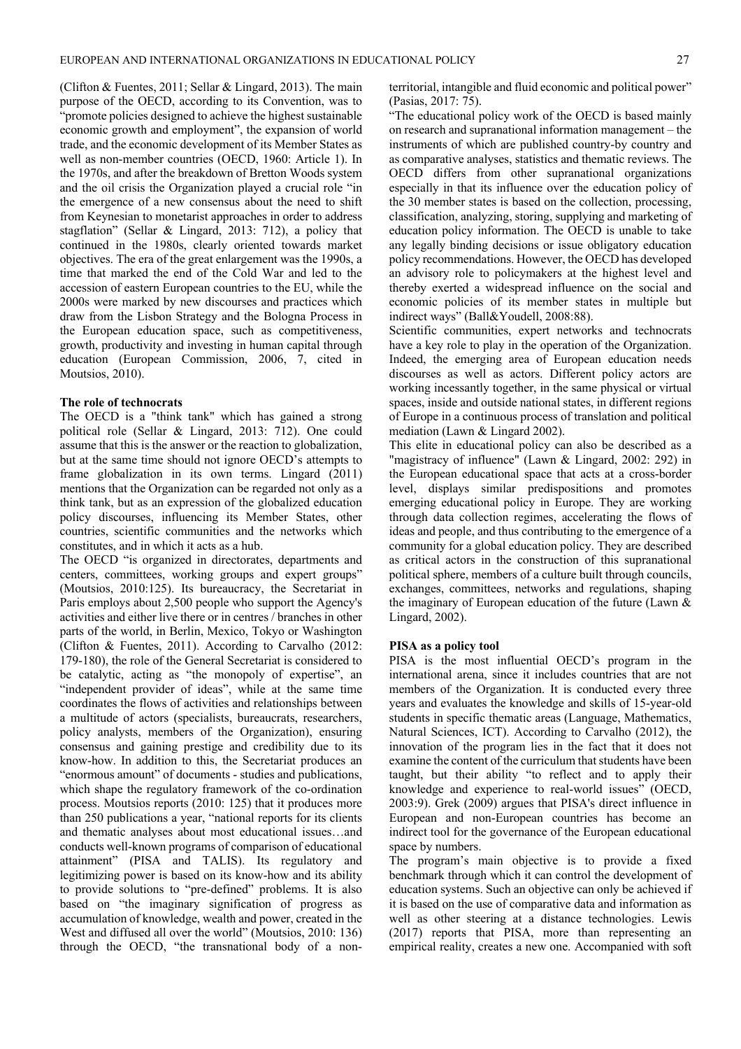(Clifton & Fuentes, 2011; Sellar & Lingard, 2013). The main purpose of the OECD, according to its Convention, was to "promote policies designed to achieve the highest sustainable economic growth and employment", the expansion of world trade, and the economic development of its Member States as well as non-member countries (OECD, 1960: Article 1). In the 1970s, and after the breakdown of Bretton Woods system and the oil crisis the Organization played a crucial role "in the emergence of a new consensus about the need to shift from Keynesian to monetarist approaches in order to address stagflation" (Sellar & Lingard, 2013: 712), a policy that continued in the 1980s, clearly oriented towards market objectives. The era of the great enlargement was the 1990s, a time that marked the end of the Cold War and led to the accession of eastern European countries to the EU, while the 2000s were marked by new discourses and practices which draw from the Lisbon Strategy and the Bologna Process in the European education space, such as competitiveness, growth, productivity and investing in human capital through education (European Commission, 2006, 7, cited in Moutsios, 2010).

#### **The role of technocrats**

The OECD is a "think tank" which has gained a strong political role (Sellar & Lingard, 2013: 712). One could assume that this is the answer or the reaction to globalization, but at the same time should not ignore OECD's attempts to frame globalization in its own terms. Lingard (2011) mentions that the Organization can be regarded not only as a think tank, but as an expression of the globalized education policy discourses, influencing its Member States, other countries, scientific communities and the networks which constitutes, and in which it acts as a hub.

The OECD "is organized in directorates, departments and centers, committees, working groups and expert groups" (Moutsios, 2010:125). Its bureaucracy, the Secretariat in Paris employs about 2,500 people who support the Agency's activities and either live there or in centres / branches in other parts of the world, in Berlin, Mexico, Tokyo or Washington (Clifton & Fuentes, 2011). According to Carvalho (2012: 179-180), the role of the General Secretariat is considered to be catalytic, acting as "the monopoly of expertise", an "independent provider of ideas", while at the same time coordinates the flows of activities and relationships between a multitude of actors (specialists, bureaucrats, researchers, policy analysts, members of the Organization), ensuring consensus and gaining prestige and credibility due to its know-how. In addition to this, the Secretariat produces an "enormous amount" of documents - studies and publications, which shape the regulatory framework of the co-ordination process. Moutsios reports (2010: 125) that it produces more than 250 publications a year, "national reports for its clients and thematic analyses about most educational issues…and conducts well-known programs of comparison of educational attainment" (PISA and TALIS). Its regulatory and legitimizing power is based on its know-how and its ability to provide solutions to "pre-defined" problems. It is also based on "the imaginary signification of progress as accumulation of knowledge, wealth and power, created in the West and diffused all over the world" (Moutsios, 2010: 136) through the OECD, "the transnational body of a nonterritorial, intangible and fluid economic and political power" (Pasias, 2017: 75).

"The educational policy work of the OECD is based mainly on research and supranational information management – the instruments of which are published country-by country and as comparative analyses, statistics and thematic reviews. The OECD differs from other supranational organizations especially in that its influence over the education policy of the 30 member states is based on the collection, processing, classification, analyzing, storing, supplying and marketing of education policy information. The OECD is unable to take any legally binding decisions or issue obligatory education policy recommendations. However, the OECD has developed an advisory role to policymakers at the highest level and thereby exerted a widespread influence on the social and economic policies of its member states in multiple but indirect ways" (Ball&Youdell, 2008:88).

Scientific communities, expert networks and technocrats have a key role to play in the operation of the Organization. Indeed, the emerging area of European education needs discourses as well as actors. Different policy actors are working incessantly together, in the same physical or virtual spaces, inside and outside national states, in different regions of Europe in a continuous process of translation and political mediation (Lawn & Lingard 2002).

This elite in educational policy can also be described as a "magistracy of influence" (Lawn & Lingard, 2002: 292) in the European educational space that acts at a cross-border level, displays similar predispositions and promotes emerging educational policy in Europe. They are working through data collection regimes, accelerating the flows of ideas and people, and thus contributing to the emergence of a community for a global education policy. They are described as critical actors in the construction of this supranational political sphere, members of a culture built through councils, exchanges, committees, networks and regulations, shaping the imaginary of European education of the future (Lawn & Lingard, 2002).

#### **PISA as a policy tool**

PISA is the most influential OECD's program in the international arena, since it includes countries that are not members of the Organization. It is conducted every three years and evaluates the knowledge and skills of 15-year-old students in specific thematic areas (Language, Mathematics, Natural Sciences, ICT). According to Carvalho (2012), the innovation of the program lies in the fact that it does not examine the content of the curriculum that students have been taught, but their ability "to reflect and to apply their knowledge and experience to real-world issues" (OECD, 2003:9). Grek (2009) argues that PISA's direct influence in European and non-European countries has become an indirect tool for the governance of the European educational space by numbers.

The program's main objective is to provide a fixed benchmark through which it can control the development of education systems. Such an objective can only be achieved if it is based on the use of comparative data and information as well as other steering at a distance technologies. Lewis (2017) reports that PISA, more than representing an empirical reality, creates a new one. Accompanied with soft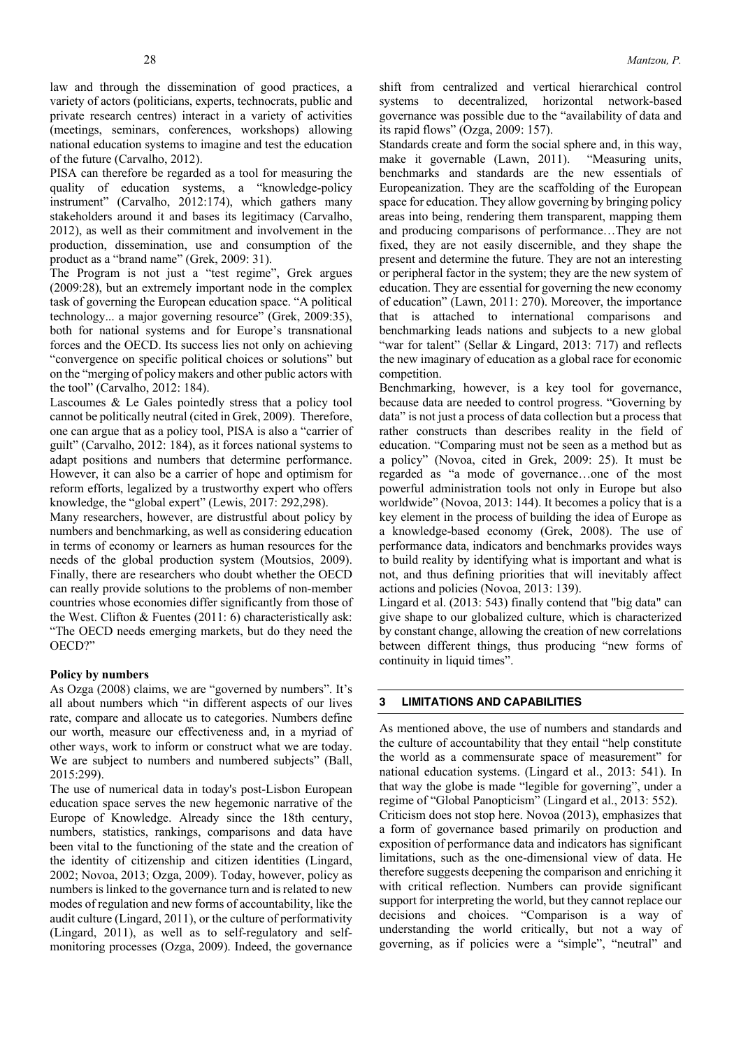law and through the dissemination of good practices, a variety of actors (politicians, experts, technocrats, public and private research centres) interact in a variety of activities (meetings, seminars, conferences, workshops) allowing national education systems to imagine and test the education of the future (Carvalho, 2012).

PISA can therefore be regarded as a tool for measuring the quality of education systems, a "knowledge-policy instrument" (Carvalho, 2012:174), which gathers many stakeholders around it and bases its legitimacy (Carvalho, 2012), as well as their commitment and involvement in the production, dissemination, use and consumption of the product as a "brand name" (Grek, 2009: 31).

The Program is not just a "test regime", Grek argues (2009:28), but an extremely important node in the complex task of governing the European education space. "A political technology... a major governing resource" (Grek, 2009:35), both for national systems and for Europe's transnational forces and the OECD. Its success lies not only on achieving "convergence on specific political choices or solutions" but on the "merging of policy makers and other public actors with the tool" (Carvalho, 2012: 184).

Lascoumes & Le Gales pointedly stress that a policy tool cannot be politically neutral (cited in Grek, 2009). Therefore, one can argue that as a policy tool, PISA is also a "carrier of guilt" (Carvalho, 2012: 184), as it forces national systems to adapt positions and numbers that determine performance. However, it can also be a carrier of hope and optimism for reform efforts, legalized by a trustworthy expert who offers knowledge, the "global expert" (Lewis, 2017: 292,298).

Many researchers, however, are distrustful about policy by numbers and benchmarking, as well as considering education in terms of economy or learners as human resources for the needs of the global production system (Moutsios, 2009). Finally, there are researchers who doubt whether the OECD can really provide solutions to the problems of non-member countries whose economies differ significantly from those of the West. Clifton & Fuentes (2011: 6) characteristically ask: "The OECD needs emerging markets, but do they need the OECD?"

#### **Policy by numbers**

As Ozga (2008) claims, we are "governed by numbers". It's all about numbers which "in different aspects of our lives rate, compare and allocate us to categories. Numbers define our worth, measure our effectiveness and, in a myriad of other ways, work to inform or construct what we are today. We are subject to numbers and numbered subjects" (Ball, 2015:299).

The use of numerical data in today's post-Lisbon European education space serves the new hegemonic narrative of the Europe of Knowledge. Already since the 18th century, numbers, statistics, rankings, comparisons and data have been vital to the functioning of the state and the creation of the identity of citizenship and citizen identities (Lingard, 2002; Novoa, 2013; Ozga, 2009). Today, however, policy as numbers is linked to the governance turn and is related to new modes of regulation and new forms of accountability, like the audit culture (Lingard, 2011), or the culture of performativity (Lingard, 2011), as well as to self-regulatory and selfmonitoring processes (Ozga, 2009). Indeed, the governance

shift from centralized and vertical hierarchical control systems to decentralized, horizontal network-based governance was possible due to the "availability of data and its rapid flows" (Ozga, 2009: 157).

Standards create and form the social sphere and, in this way, make it governable (Lawn, 2011). "Measuring units, benchmarks and standards are the new essentials of Europeanization. They are the scaffolding of the European space for education. They allow governing by bringing policy areas into being, rendering them transparent, mapping them and producing comparisons of performance…They are not fixed, they are not easily discernible, and they shape the present and determine the future. They are not an interesting or peripheral factor in the system; they are the new system of education. They are essential for governing the new economy of education" (Lawn, 2011: 270). Moreover, the importance that is attached to international comparisons and benchmarking leads nations and subjects to a new global "war for talent" (Sellar & Lingard, 2013: 717) and reflects the new imaginary of education as a global race for economic competition.

Benchmarking, however, is a key tool for governance, because data are needed to control progress. "Governing by data" is not just a process of data collection but a process that rather constructs than describes reality in the field of education. "Comparing must not be seen as a method but as a policy" (Novoa, cited in Grek, 2009: 25). It must be regarded as "a mode of governance…one of the most powerful administration tools not only in Europe but also worldwide" (Novoa, 2013: 144). It becomes a policy that is a key element in the process of building the idea of Europe as a knowledge-based economy (Grek, 2008). The use of performance data, indicators and benchmarks provides ways to build reality by identifying what is important and what is not, and thus defining priorities that will inevitably affect actions and policies (Novoa, 2013: 139).

Lingard et al. (2013: 543) finally contend that "big data" can give shape to our globalized culture, which is characterized by constant change, allowing the creation of new correlations between different things, thus producing "new forms of continuity in liquid times".

#### **3 LIMITATIONS AND CAPABILITIES**

As mentioned above, the use of numbers and standards and the culture of accountability that they entail "help constitute the world as a commensurate space of measurement" for national education systems. (Lingard et al., 2013: 541). In that way the globe is made "legible for governing", under a regime of "Global Panopticism" (Lingard et al., 2013: 552). Criticism does not stop here. Novoa (2013), emphasizes that a form of governance based primarily on production and exposition of performance data and indicators has significant limitations, such as the one-dimensional view of data. He therefore suggests deepening the comparison and enriching it with critical reflection. Numbers can provide significant support for interpreting the world, but they cannot replace our decisions and choices. "Comparison is a way of understanding the world critically, but not a way of governing, as if policies were a "simple", "neutral" and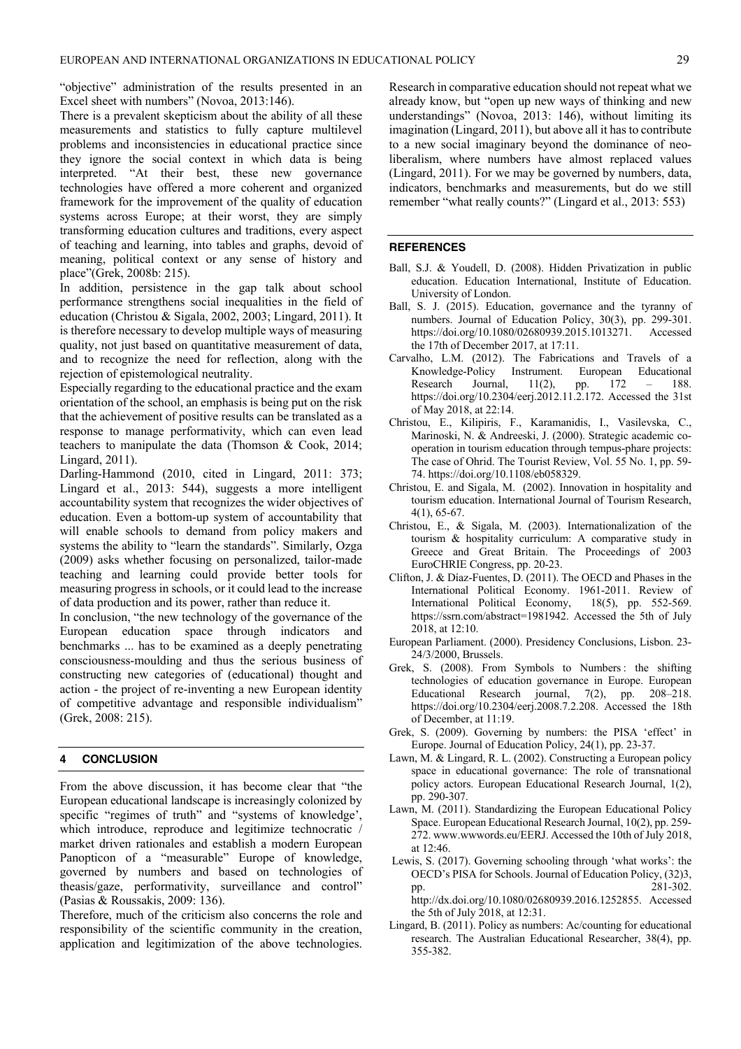"objective" administration of the results presented in an Excel sheet with numbers" (Novoa, 2013:146).

There is a prevalent skepticism about the ability of all these measurements and statistics to fully capture multilevel problems and inconsistencies in educational practice since they ignore the social context in which data is being interpreted. "At their best, these new governance technologies have offered a more coherent and organized framework for the improvement of the quality of education systems across Europe; at their worst, they are simply transforming education cultures and traditions, every aspect of teaching and learning, into tables and graphs, devoid of meaning, political context or any sense of history and place"(Grek, 2008b: 215).

In addition, persistence in the gap talk about school performance strengthens social inequalities in the field of education (Christou & Sigala, 2002, 2003; Lingard, 2011). It is therefore necessary to develop multiple ways of measuring quality, not just based on quantitative measurement of data, and to recognize the need for reflection, along with the rejection of epistemological neutrality.

Especially regarding to the educational practice and the exam orientation of the school, an emphasis is being put on the risk that the achievement of positive results can be translated as a response to manage performativity, which can even lead teachers to manipulate the data (Thomson & Cook, 2014; Lingard, 2011).

Darling-Hammond (2010, cited in Lingard, 2011: 373; Lingard et al., 2013: 544), suggests a more intelligent accountability system that recognizes the wider objectives of education. Even a bottom-up system of accountability that will enable schools to demand from policy makers and systems the ability to "learn the standards". Similarly, Ozga (2009) asks whether focusing on personalized, tailor-made teaching and learning could provide better tools for measuring progress in schools, or it could lead to the increase of data production and its power, rather than reduce it.

In conclusion, "the new technology of the governance of the European education space through indicators and benchmarks ... has to be examined as a deeply penetrating consciousness-moulding and thus the serious business of constructing new categories of (educational) thought and action - the project of re-inventing a new European identity of competitive advantage and responsible individualism" (Grek, 2008: 215).

#### **4 CONCLUSION**

From the above discussion, it has become clear that "the European educational landscape is increasingly colonized by specific "regimes of truth" and "systems of knowledge', which introduce, reproduce and legitimize technocratic / market driven rationales and establish a modern European Panopticon of a "measurable" Europe of knowledge, governed by numbers and based on technologies of theasis/gaze, performativity, surveillance and control" (Pasias & Roussakis, 2009: 136).

Therefore, much of the criticism also concerns the role and responsibility of the scientific community in the creation, application and legitimization of the above technologies.

Research in comparative education should not repeat what we already know, but "open up new ways of thinking and new understandings" (Novoa, 2013: 146), without limiting its imagination (Lingard, 2011), but above all it has to contribute to a new social imaginary beyond the dominance of neoliberalism, where numbers have almost replaced values (Lingard, 2011). For we may be governed by numbers, data, indicators, benchmarks and measurements, but do we still remember "what really counts?" (Lingard et al., 2013: 553)

#### **REFERENCES**

- Ball, S.J. & Youdell, D. (2008). Hidden Privatization in public education. Education International, Institute of Education. University of London.
- Ball, S. J. (2015). Education, governance and the tyranny of numbers. Journal of Education Policy, 30(3), pp. 299-301. https://doi.org/10.1080/02680939.2015.1013271. Accessed the 17th of December 2017, at 17:11.
- Carvalho, L.M. (2012). The Fabrications and Travels of a Knowledge-Policy Instrument. European Educational Research Journal, 11(2), pp. 172 – 188. https://doi.org/10.2304/eerj.2012.11.2.172. Accessed the 31st of May 2018, at 22:14.
- Christou, E., Kilipiris, F., Karamanidis, I., Vasilevska, C., Marinoski, N. & Andreeski, J. (2000). Strategic academic cooperation in tourism education through tempus‐phare projects: The case of Ohrid. The Tourist Review, Vol. 55 No. 1, pp. 59- 74. https://doi.org/10.1108/eb058329.
- Christou, E. and Sigala, M. (2002). Innovation in hospitality and tourism education. International Journal of Tourism Research, 4(1), 65-67.
- Christou, E., & Sigala, M. (2003). Internationalization of the tourism & hospitality curriculum: A comparative study in Greece and Great Britain. The Proceedings of 2003 EuroCHRIE Congress, pp. 20-23.
- Clifton, J. & Díaz-Fuentes, D. (2011). The OECD and Phases in the International Political Economy. 1961-2011. Review of International Political Economy, 18(5), pp. 552-569. https://ssrn.com/abstract=1981942. Accessed the 5th of July 2018, at 12:10.
- European Parliament. (2000). Presidency Conclusions, Lisbon. 23- 24/3/2000, Brussels.
- Grek, S. (2008). From Symbols to Numbers : the shifting technologies of education governance in Europe. European Educational Research journal, 7(2), pp. 208–218. https://doi.org/10.2304/eerj.2008.7.2.208. Accessed the 18th of December, at 11:19.
- Grek, S. (2009). Governing by numbers: the PISA 'effect' in Europe. Journal of Education Policy, 24(1), pp. 23-37.
- Lawn, M. & Lingard, R. L. (2002). Constructing a European policy space in educational governance: The role of transnational policy actors. European Educational Research Journal, 1(2), pp. 290-307.
- Lawn, M. (2011). Standardizing the European Educational Policy Space. European Educational Research Journal, 10(2), pp. 259- 272. www.wwwords.eu/EERJ. Accessed the 10th of July 2018, at 12:46.
- Lewis, S. (2017). Governing schooling through 'what works': the OECD's PISA for Schools. Journal of Education Policy, (32)3, pp. 281-302. http://dx.doi.org/10.1080/02680939.2016.1252855. Accessed the 5th of July 2018, at 12:31.
- Lingard, B. (2011). Policy as numbers: Ac/counting for educational research. The Australian Educational Researcher, 38(4), pp. 355-382.